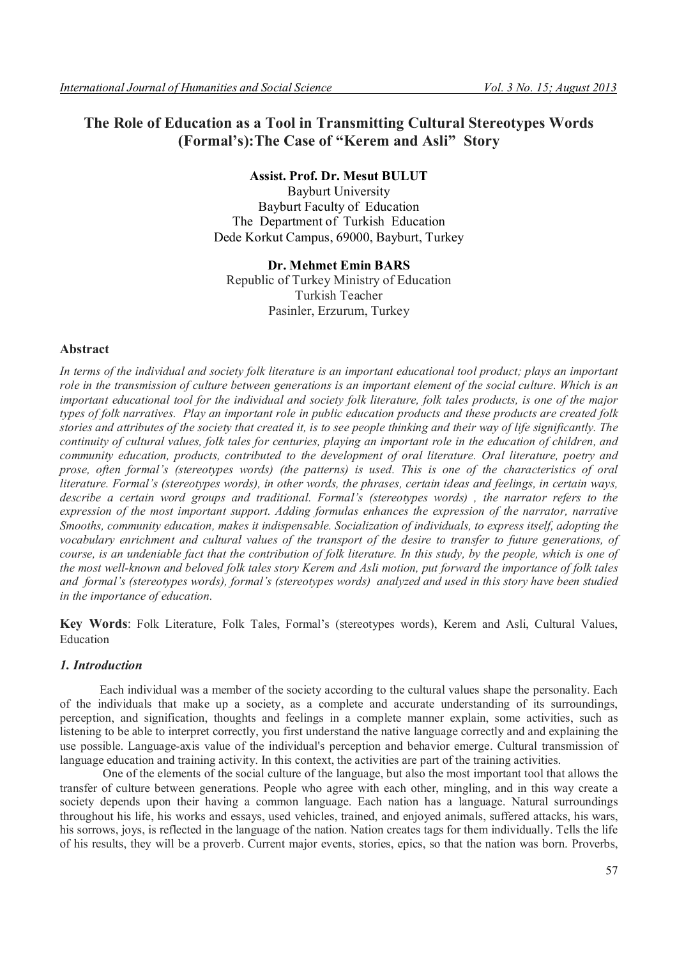# **The Role of Education as a Tool in Transmitting Cultural Stereotypes Words (Formal's):The Case of "Kerem and Asli" Story**

# **Assist. Prof. Dr. Mesut BULUT**

Bayburt University Bayburt Faculty of Education The Department of Turkish Education Dede Korkut Campus, 69000, Bayburt, Turkey

# **Dr. Mehmet Emin BARS** Republic of Turkey Ministry of Education Turkish Teacher Pasinler, Erzurum, Turkey

# **Abstract**

*In terms of the individual and society folk literature is an important educational tool product; plays an important role in the transmission of culture between generations is an important element of the social culture. Which is an important educational tool for the individual and society folk literature, folk tales products, is one of the major types of folk narratives. Play an important role in public education products and these products are created folk stories and attributes of the society that created it, is to see people thinking and their way of life significantly. The continuity of cultural values, folk tales for centuries, playing an important role in the education of children, and community education, products, contributed to the development of oral literature. Oral literature, poetry and prose, often formal's (stereotypes words) (the patterns) is used. This is one of the characteristics of oral literature. Formal's (stereotypes words), in other words, the phrases, certain ideas and feelings, in certain ways, describe a certain word groups and traditional. Formal's (stereotypes words) , the narrator refers to the expression of the most important support. Adding formulas enhances the expression of the narrator, narrative Smooths, community education, makes it indispensable. Socialization of individuals, to express itself, adopting the vocabulary enrichment and cultural values of the transport of the desire to transfer to future generations, of course, is an undeniable fact that the contribution of folk literature. In this study, by the people, which is one of the most well-known and beloved folk tales story Kerem and Asli motion, put forward the importance of folk tales and formal's (stereotypes words), formal's (stereotypes words) analyzed and used in this story have been studied in the importance of education.*

**Key Words**: Folk Literature, Folk Tales, Formal's (stereotypes words), Kerem and Asli, Cultural Values, Education

# *1. Introduction*

Each individual was a member of the society according to the cultural values shape the personality. Each of the individuals that make up a society, as a complete and accurate understanding of its surroundings, perception, and signification, thoughts and feelings in a complete manner explain, some activities, such as listening to be able to interpret correctly, you first understand the native language correctly and and explaining the use possible. Language-axis value of the individual's perception and behavior emerge. Cultural transmission of language education and training activity. In this context, the activities are part of the training activities.

One of the elements of the social culture of the language, but also the most important tool that allows the transfer of culture between generations. People who agree with each other, mingling, and in this way create a society depends upon their having a common language. Each nation has a language. Natural surroundings throughout his life, his works and essays, used vehicles, trained, and enjoyed animals, suffered attacks, his wars, his sorrows, joys, is reflected in the language of the nation. Nation creates tags for them individually. Tells the life of his results, they will be a proverb. Current major events, stories, epics, so that the nation was born. Proverbs,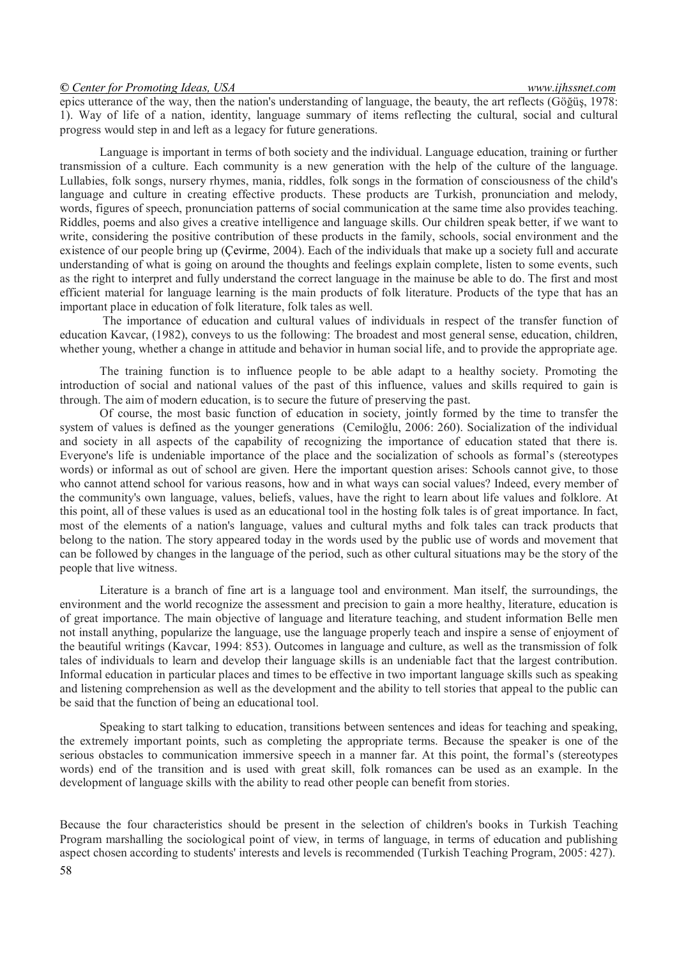epics utterance of the way, then the nation's understanding of language, the beauty, the art reflects (Göğüş, 1978: 1). Way of life of a nation, identity, language summary of items reflecting the cultural, social and cultural progress would step in and left as a legacy for future generations.

Language is important in terms of both society and the individual. Language education, training or further transmission of a culture. Each community is a new generation with the help of the culture of the language. Lullabies, folk songs, nursery rhymes, mania, riddles, folk songs in the formation of consciousness of the child's language and culture in creating effective products. These products are Turkish, pronunciation and melody, words, figures of speech, pronunciation patterns of social communication at the same time also provides teaching. Riddles, poems and also gives a creative intelligence and language skills. Our children speak better, if we want to write, considering the positive contribution of these products in the family, schools, social environment and the existence of our people bring up (Çevirme, 2004). Each of the individuals that make up a society full and accurate understanding of what is going on around the thoughts and feelings explain complete, listen to some events, such as the right to interpret and fully understand the correct language in the mainuse be able to do. The first and most efficient material for language learning is the main products of folk literature. Products of the type that has an important place in education of folk literature, folk tales as well.

The importance of education and cultural values of individuals in respect of the transfer function of education Kavcar, (1982), conveys to us the following: The broadest and most general sense, education, children, whether young, whether a change in attitude and behavior in human social life, and to provide the appropriate age.

The training function is to influence people to be able adapt to a healthy society. Promoting the introduction of social and national values of the past of this influence, values and skills required to gain is through. The aim of modern education, is to secure the future of preserving the past.

Of course, the most basic function of education in society, jointly formed by the time to transfer the system of values is defined as the younger generations (Cemiloğlu, 2006: 260). Socialization of the individual and society in all aspects of the capability of recognizing the importance of education stated that there is. Everyone's life is undeniable importance of the place and the socialization of schools as formal's (stereotypes words) or informal as out of school are given. Here the important question arises: Schools cannot give, to those who cannot attend school for various reasons, how and in what ways can social values? Indeed, every member of the community's own language, values, beliefs, values, have the right to learn about life values and folklore. At this point, all of these values is used as an educational tool in the hosting folk tales is of great importance. In fact, most of the elements of a nation's language, values and cultural myths and folk tales can track products that belong to the nation. The story appeared today in the words used by the public use of words and movement that can be followed by changes in the language of the period, such as other cultural situations may be the story of the people that live witness.

Literature is a branch of fine art is a language tool and environment. Man itself, the surroundings, the environment and the world recognize the assessment and precision to gain a more healthy, literature, education is of great importance. The main objective of language and literature teaching, and student information Belle men not install anything, popularize the language, use the language properly teach and inspire a sense of enjoyment of the beautiful writings (Kavcar, 1994: 853). Outcomes in language and culture, as well as the transmission of folk tales of individuals to learn and develop their language skills is an undeniable fact that the largest contribution. Informal education in particular places and times to be effective in two important language skills such as speaking and listening comprehension as well as the development and the ability to tell stories that appeal to the public can be said that the function of being an educational tool.

Speaking to start talking to education, transitions between sentences and ideas for teaching and speaking, the extremely important points, such as completing the appropriate terms. Because the speaker is one of the serious obstacles to communication immersive speech in a manner far. At this point, the formal's (stereotypes words) end of the transition and is used with great skill, folk romances can be used as an example. In the development of language skills with the ability to read other people can benefit from stories.

Because the four characteristics should be present in the selection of children's books in Turkish Teaching Program marshalling the sociological point of view, in terms of language, in terms of education and publishing aspect chosen according to students' interests and levels is recommended (Turkish Teaching Program, 2005: 427).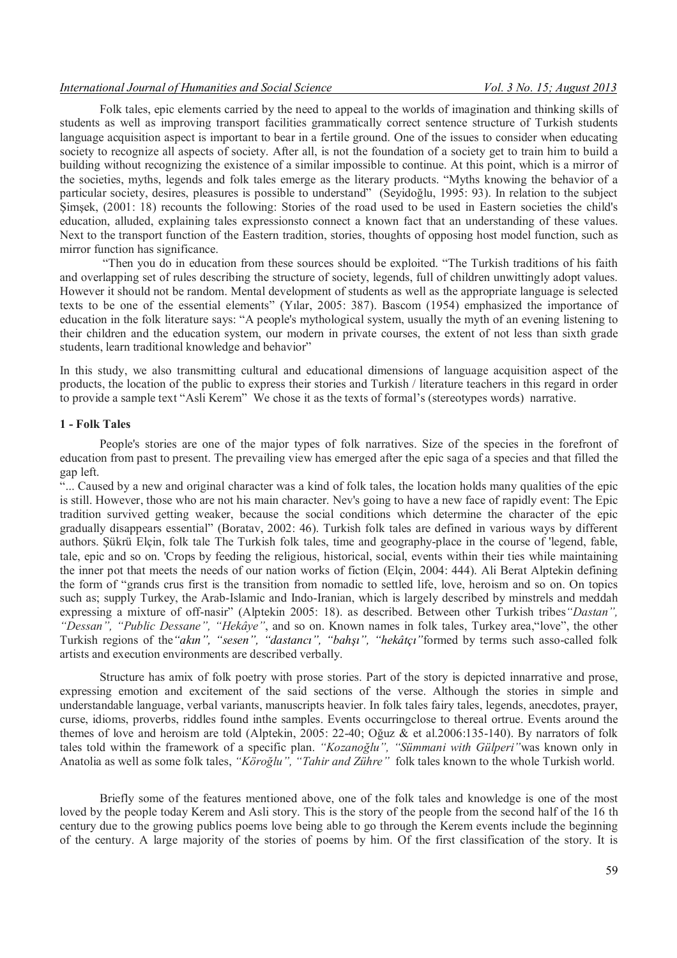#### *International Journal of Humanities and Social Science* Vol. 3 No. 15; August 2013

Folk tales, epic elements carried by the need to appeal to the worlds of imagination and thinking skills of students as well as improving transport facilities grammatically correct sentence structure of Turkish students language acquisition aspect is important to bear in a fertile ground. One of the issues to consider when educating society to recognize all aspects of society. After all, is not the foundation of a society get to train him to build a building without recognizing the existence of a similar impossible to continue. At this point, which is a mirror of the societies, myths, legends and folk tales emerge as the literary products. "Myths knowing the behavior of a particular society, desires, pleasures is possible to understand" (Seyidoğlu, 1995: 93). In relation to the subject Şimşek, (2001: 18) recounts the following: Stories of the road used to be used in Eastern societies the child's education, alluded, explaining tales expressionsto connect a known fact that an understanding of these values. Next to the transport function of the Eastern tradition, stories, thoughts of opposing host model function, such as mirror function has significance.

"Then you do in education from these sources should be exploited. "The Turkish traditions of his faith and overlapping set of rules describing the structure of society, legends, full of children unwittingly adopt values. However it should not be random. Mental development of students as well as the appropriate language is selected texts to be one of the essential elements" (Yılar, 2005: 387). Bascom (1954) emphasized the importance of education in the folk literature says: "A people's mythological system, usually the myth of an evening listening to their children and the education system, our modern in private courses, the extent of not less than sixth grade students, learn traditional knowledge and behavior"

In this study, we also transmitting cultural and educational dimensions of language acquisition aspect of the products, the location of the public to express their stories and Turkish / literature teachers in this regard in order to provide a sample text "Asli Kerem" We chose it as the texts of formal's (stereotypes words) narrative.

#### **1 - Folk Tales**

People's stories are one of the major types of folk narratives. Size of the species in the forefront of education from past to present. The prevailing view has emerged after the epic saga of a species and that filled the gap left.

"... Caused by a new and original character was a kind of folk tales, the location holds many qualities of the epic is still. However, those who are not his main character. Nev's going to have a new face of rapidly event: The Epic tradition survived getting weaker, because the social conditions which determine the character of the epic gradually disappears essential" (Boratav, 2002: 46). Turkish folk tales are defined in various ways by different authors. Şükrü Elçin, folk tale The Turkish folk tales, time and geography-place in the course of 'legend, fable, tale, epic and so on. 'Crops by feeding the religious, historical, social, events within their ties while maintaining the inner pot that meets the needs of our nation works of fiction (Elçin, 2004: 444). Ali Berat Alptekin defining the form of "grands crus first is the transition from nomadic to settled life, love, heroism and so on. On topics such as; supply Turkey, the Arab-Islamic and Indo-Iranian, which is largely described by minstrels and meddah expressing a mixture of off-nasir" (Alptekin 2005: 18). as described. Between other Turkish tribes*"Dastan", "Dessan", "Public Dessane", "Hekâye"*, and so on. Known names in folk tales, Turkey area,"love", the other Turkish regions of the*"akın", "sesen", "dastancı", "bahşı", "hekâtçı"*formed by terms such asso-called folk artists and execution environments are described verbally.

Structure has amix of folk poetry with prose stories. Part of the story is depicted innarrative and prose, expressing emotion and excitement of the said sections of the verse. Although the stories in simple and understandable language, verbal variants, manuscripts heavier. In folk tales fairy tales, legends, anecdotes, prayer, curse, idioms, proverbs, riddles found inthe samples. Events occurringclose to thereal ortrue. Events around the themes of love and heroism are told (Alptekin, 2005: 22-40; Oğuz & et al.2006:135-140). By narrators of folk tales told within the framework of a specific plan. *"Kozanoğlu", "Sümmani with Gülperi"*was known only in Anatolia as well as some folk tales, *"Köroğlu", "Tahir and Zühre"* folk tales known to the whole Turkish world.

Briefly some of the features mentioned above, one of the folk tales and knowledge is one of the most loved by the people today Kerem and Asli story. This is the story of the people from the second half of the 16 th century due to the growing publics poems love being able to go through the Kerem events include the beginning of the century. A large majority of the stories of poems by him. Of the first classification of the story. It is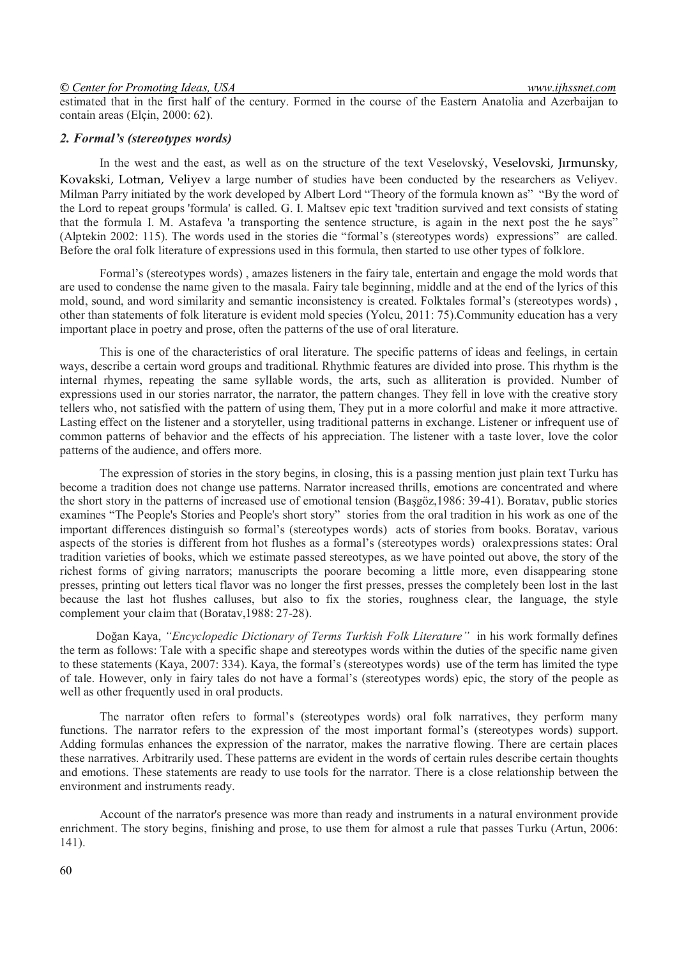#### *© Center for Promoting Ideas, USA www.ijhssnet.com*

estimated that in the first half of the century. Formed in the course of the Eastern Anatolia and Azerbaijan to contain areas (Elçin, 2000: 62).

#### *2. Formal's (stereotypes words)*

In the west and the east, as well as on the structure of the text Veselovský, Veselovski, Jırmunsky, Kovakski, Lotman, Veliyev a large number of studies have been conducted by the researchers as Veliyev. Milman Parry initiated by the work developed by Albert Lord "Theory of the formula known as" "By the word of the Lord to repeat groups 'formula' is called. G. I. Maltsev epic text 'tradition survived and text consists of stating that the formula I. M. Astafeva 'a transporting the sentence structure, is again in the next post the he says" (Alptekin 2002: 115). The words used in the stories die "formal's (stereotypes words) expressions" are called. Before the oral folk literature of expressions used in this formula, then started to use other types of folklore.

Formal's (stereotypes words) , amazes listeners in the fairy tale, entertain and engage the mold words that are used to condense the name given to the masala. Fairy tale beginning, middle and at the end of the lyrics of this mold, sound, and word similarity and semantic inconsistency is created. Folktales formal's (stereotypes words) , other than statements of folk literature is evident mold species (Yolcu, 2011: 75).Community education has a very important place in poetry and prose, often the patterns of the use of oral literature.

This is one of the characteristics of oral literature. The specific patterns of ideas and feelings, in certain ways, describe a certain word groups and traditional. Rhythmic features are divided into prose. This rhythm is the internal rhymes, repeating the same syllable words, the arts, such as alliteration is provided. Number of expressions used in our stories narrator, the narrator, the pattern changes. They fell in love with the creative story tellers who, not satisfied with the pattern of using them, They put in a more colorful and make it more attractive. Lasting effect on the listener and a storyteller, using traditional patterns in exchange. Listener or infrequent use of common patterns of behavior and the effects of his appreciation. The listener with a taste lover, love the color patterns of the audience, and offers more.

The expression of stories in the story begins, in closing, this is a passing mention just plain text Turku has become a tradition does not change use patterns. Narrator increased thrills, emotions are concentrated and where the short story in the patterns of increased use of emotional tension (Başgöz,1986: 39-41). Boratav, public stories examines "The People's Stories and People's short story" stories from the oral tradition in his work as one of the important differences distinguish so formal's (stereotypes words) acts of stories from books. Boratav, various aspects of the stories is different from hot flushes as a formal's (stereotypes words) oralexpressions states: Oral tradition varieties of books, which we estimate passed stereotypes, as we have pointed out above, the story of the richest forms of giving narrators; manuscripts the poorare becoming a little more, even disappearing stone presses, printing out letters tical flavor was no longer the first presses, presses the completely been lost in the last because the last hot flushes calluses, but also to fix the stories, roughness clear, the language, the style complement your claim that (Boratav,1988: 27-28).

 Doğan Kaya, *"Encyclopedic Dictionary of Terms Turkish Folk Literature"* in his work formally defines the term as follows: Tale with a specific shape and stereotypes words within the duties of the specific name given to these statements (Kaya, 2007: 334). Kaya, the formal's (stereotypes words) use of the term has limited the type of tale. However, only in fairy tales do not have a formal's (stereotypes words) epic, the story of the people as well as other frequently used in oral products.

The narrator often refers to formal's (stereotypes words) oral folk narratives, they perform many functions. The narrator refers to the expression of the most important formal's (stereotypes words) support. Adding formulas enhances the expression of the narrator, makes the narrative flowing. There are certain places these narratives. Arbitrarily used. These patterns are evident in the words of certain rules describe certain thoughts and emotions. These statements are ready to use tools for the narrator. There is a close relationship between the environment and instruments ready.

Account of the narrator's presence was more than ready and instruments in a natural environment provide enrichment. The story begins, finishing and prose, to use them for almost a rule that passes Turku (Artun, 2006: 141).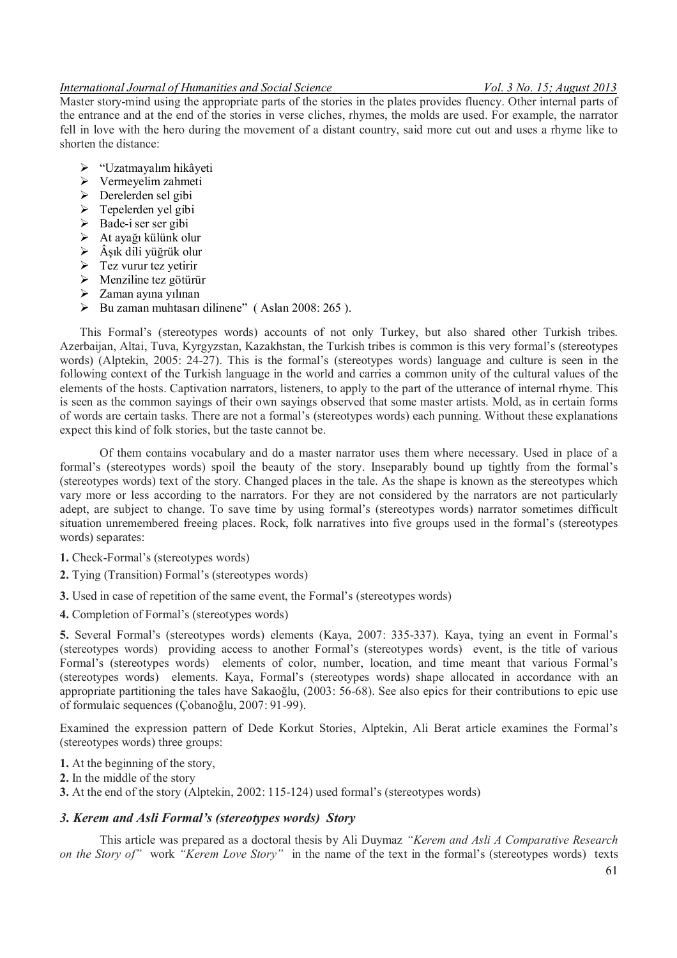### *International Journal of Humanities and Social Science* Vol. 3 No. 15; August 2013

Master story-mind using the appropriate parts of the stories in the plates provides fluency. Other internal parts of the entrance and at the end of the stories in verse cliches, rhymes, the molds are used. For example, the narrator fell in love with the hero during the movement of a distant country, said more cut out and uses a rhyme like to shorten the distance:

- "Uzatmayalım hikâyeti
- $\triangleright$  Vermeyelim zahmeti
- $\triangleright$  Derelerden sel gibi
- $\triangleright$  Tepelerden yel gibi
- $\triangleright$  Bade-i ser ser gibi
- At ayağı külünk olur
- $\triangleright$  Âşık dili yüğrük olur
- $\triangleright$  Tez vurur tez vetirir
- $\triangleright$  Menziline tez götürür
- $\triangleright$  Zaman ayına yılınan
- $\triangleright$  Bu zaman muhtasarı dilinene" (Aslan 2008: 265 ).

This Formal's (stereotypes words) accounts of not only Turkey, but also shared other Turkish tribes. Azerbaijan, Altai, Tuva, Kyrgyzstan, Kazakhstan, the Turkish tribes is common is this very formal's (stereotypes words) (Alptekin, 2005: 24-27). This is the formal's (stereotypes words) language and culture is seen in the following context of the Turkish language in the world and carries a common unity of the cultural values of the elements of the hosts. Captivation narrators, listeners, to apply to the part of the utterance of internal rhyme. This is seen as the common sayings of their own sayings observed that some master artists. Mold, as in certain forms of words are certain tasks. There are not a formal's (stereotypes words) each punning. Without these explanations expect this kind of folk stories, but the taste cannot be.

Of them contains vocabulary and do a master narrator uses them where necessary. Used in place of a formal's (stereotypes words) spoil the beauty of the story. Inseparably bound up tightly from the formal's (stereotypes words) text of the story. Changed places in the tale. As the shape is known as the stereotypes which vary more or less according to the narrators. For they are not considered by the narrators are not particularly adept, are subject to change. To save time by using formal's (stereotypes words) narrator sometimes difficult situation unremembered freeing places. Rock, folk narratives into five groups used in the formal's (stereotypes words) separates:

- **1.** Check-Formal's (stereotypes words)
- **2.** Tying (Transition) Formal's (stereotypes words)
- **3.** Used in case of repetition of the same event, the Formal's (stereotypes words)
- **4.** Completion of Formal's (stereotypes words)

**5.** Several Formal's (stereotypes words) elements (Kaya, 2007: 335-337). Kaya, tying an event in Formal's (stereotypes words) providing access to another Formal's (stereotypes words) event, is the title of various Formal's (stereotypes words) elements of color, number, location, and time meant that various Formal's (stereotypes words) elements. Kaya, Formal's (stereotypes words) shape allocated in accordance with an appropriate partitioning the tales have Sakaoğlu, (2003: 56-68). See also epics for their contributions to epic use of formulaic sequences (Çobanoğlu, 2007: 91-99).

Examined the expression pattern of Dede Korkut Stories, Alptekin, Ali Berat article examines the Formal's (stereotypes words) three groups:

- **1.** At the beginning of the story,
- **2.** In the middle of the story
- **3.** At the end of the story (Alptekin, 2002: 115-124) used formal's (stereotypes words)

# *3. Kerem and Asli Formal's (stereotypes words) Story*

This article was prepared as a doctoral thesis by Ali Duymaz *"Kerem and Asli A Comparative Research on the Story of"* work *"Kerem Love Story"* in the name of the text in the formal's (stereotypes words) texts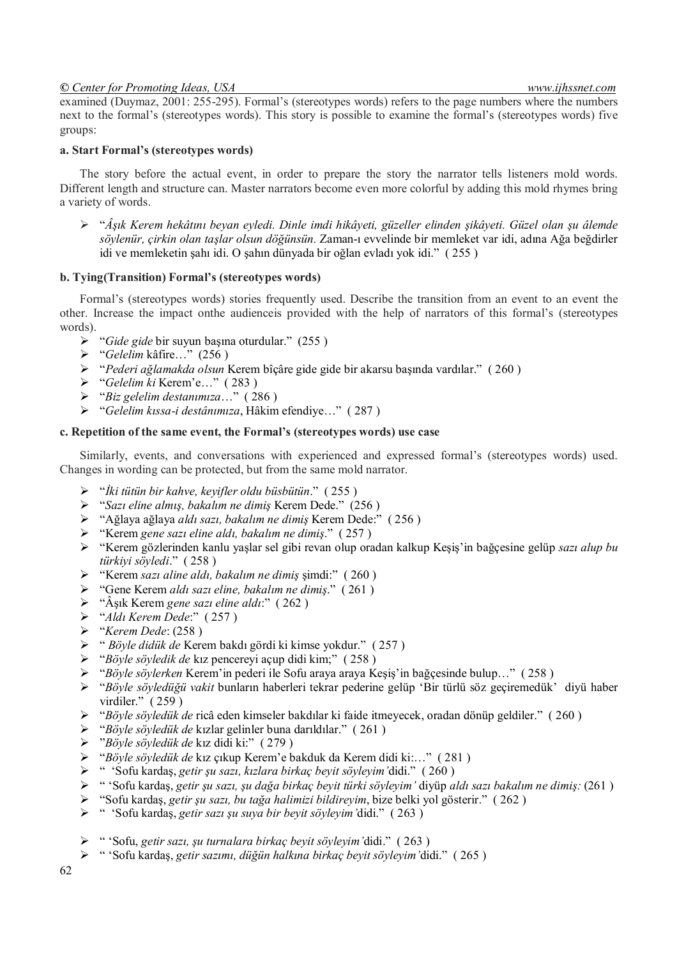# *© Center for Promoting Ideas, USA www.ijhssnet.com*

examined (Duymaz, 2001: 255-295). Formal's (stereotypes words) refers to the page numbers where the numbers next to the formal's (stereotypes words). This story is possible to examine the formal's (stereotypes words) five groups:

### **a. Start Formal's (stereotypes words)**

The story before the actual event, in order to prepare the story the narrator tells listeners mold words. Different length and structure can. Master narrators become even more colorful by adding this mold rhymes bring a variety of words.

 "*Âşık Kerem hekâtını beyan eyledi. Dinle imdi hikâyeti, güzeller elinden şikâyeti. Güzel olan şu âlemde söylenür, çirkin olan taşlar olsun döğünsün.* Zaman-ı evvelinde bir memleket var idi, adına Ağa beğdirler idi ve memleketin şahı idi. O şahın dünyada bir oğlan evladı yok idi." ( 255 )

#### **b. Tying(Transition) Formal's (stereotypes words)**

Formal's (stereotypes words) stories frequently used. Describe the transition from an event to an event the other. Increase the impact onthe audienceis provided with the help of narrators of this formal's (stereotypes words).

- "*Gide gide* bir suyun başına oturdular." (255 )
- "*Gelelim* kâfire…" (256 )
- "*Pederi ağlamakda olsun* Kerem bîçâre gide gide bir akarsu başında vardılar." ( 260 )
- "*Gelelim ki* Kerem'e…" ( 283 )
- "*Biz gelelim destanımıza*…" ( 286 )
- "*Gelelim kıssa-i destânımıza*, Hâkim efendiye…" ( 287 )

# **c. Repetition of the same event, the Formal's (stereotypes words) use case**

Similarly, events, and conversations with experienced and expressed formal's (stereotypes words) used. Changes in wording can be protected, but from the same mold narrator.

- "*İki tütün bir kahve, keyifler oldu büsbütün*." ( 255 )
- "*Sazı eline almış, bakalım ne dimiş* Kerem Dede." (256 )
- "Ağlaya ağlaya *aldı sazı, bakalım ne dimiş* Kerem Dede:" ( 256 )
- "Kerem *gene sazı eline aldı, bakalım ne dimiş*." ( 257 )
- "Kerem gözlerinden kanlu yaşlar sel gibi revan olup oradan kalkup Keşiş'in bağçesine gelüp *sazı alup bu türkiyi söyledi*." ( 258 )
- "Kerem *sazı aline aldı, bakalım ne dimiş* şimdi:" ( 260 )
- "Gene Kerem *aldı sazı eline, bakalım ne dimiş*." ( 261 )
- "Âşık Kerem *gene sazı eline aldı*:" ( 262 )
- "*Aldı Kerem Dede*:" ( 257 )
- "*Kerem Dede*: (258 )
- " *Böyle didük de* Kerem bakdı gördi ki kimse yokdur." ( 257 )
- "*Böyle söyledik de* kız pencereyi açup didi kim;" ( 258 )
- "*Böyle söylerken* Kerem'in pederi ile Sofu araya araya Keşiş'in bağçesinde bulup…" ( 258 )
- "*Böyle söyledüğü vakit* bunların haberleri tekrar pederine gelüp 'Bir türlü söz geçiremedük' diyü haber virdiler." ( 259 )
- "*Böyle söyledük de* ricâ eden kimseler bakdılar ki faide itmeyecek, oradan dönüp geldiler." ( 260 )
- "*Böyle söyledük de* kızlar gelinler buna darıldılar." ( 261 )
- "*Böyle söyledük de* kız didi ki:" ( 279 )
- "*Böyle söyledük de* kız çıkup Kerem'e bakduk da Kerem didi ki:…" ( 281 )
- " 'Sofu kardaş, *getir şu sazı, kızlara birkaç beyit söyleyim'*didi." ( 260 )
- " 'Sofu kardaş, *getir şu sazı, şu dağa birkaç beyit türki söyleyim'* diyüp *aldı sazı bakalım ne dimiş:* (261 )
- "Sofu kardaş, *getir şu sazı, bu tağa halimizi bildireyim*, bize belki yol gösterir." ( 262 )
- " 'Sofu kardaş, *getir sazı şu suya bir beyit söyleyim'*didi." ( 263 )
- " 'Sofu, *getir sazı, şu turnalara birkaç beyit söyleyim'*didi." ( 263 )
- " 'Sofu kardaş, *getir sazımı, düğün halkına birkaç beyit söyleyim'*didi." ( 265 )

62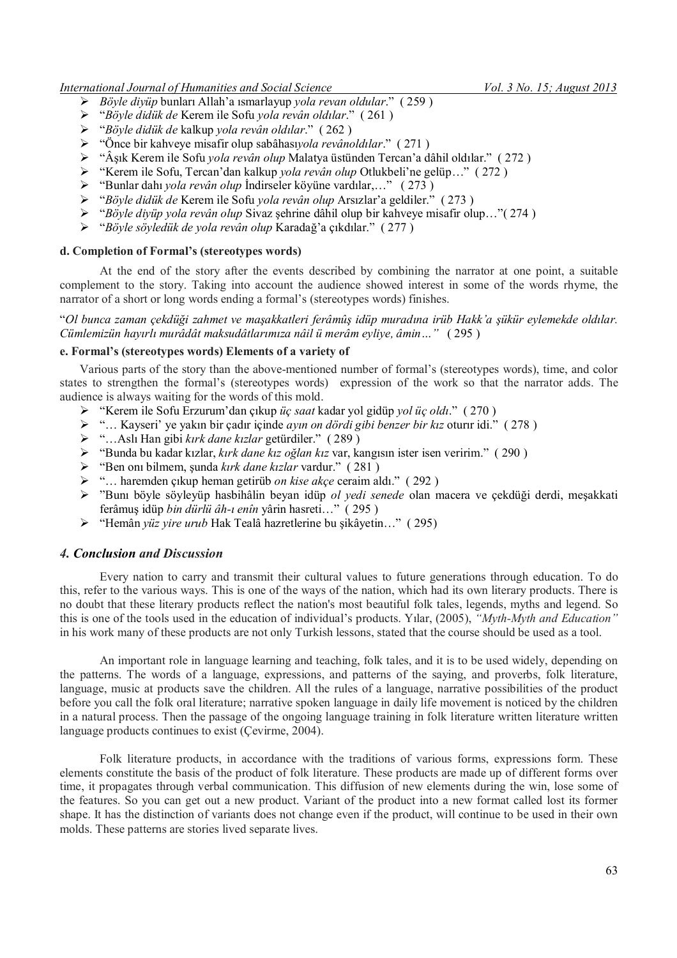*International Journal of Humanities and Social Science* Vol. 3 No. 15; August 2013

- *Böyle diyüp* bunları Allah'a ısmarlayup *yola revan oldular*." ( 259 )
- "*Böyle didük de* Kerem ile Sofu *yola revân oldılar*." ( 261 )
- "*Böyle didük de* kalkup *yola revân oldılar*." ( 262 )
- "Önce bir kahveye misafir olup sabâhası*yola revânoldılar*." ( 271 )
- "Âşık Kerem ile Sofu *yola revân olup* Malatya üstünden Tercan'a dâhil oldılar." ( 272 )
- "Kerem ile Sofu, Tercan'dan kalkup *yola revân olup* Otlukbeli'ne gelüp…" ( 272 )
- "Bunlar dahı *yola revân olup* İndirseler köyüne vardılar,…" ( 273 )
- "*Böyle didük de* Kerem ile Sofu *yola revân olup* Arsızlar'a geldiler." ( 273 )
- "*Böyle diyüp yola revân olup* Sivaz şehrine dâhil olup bir kahveye misafir olup…"( 274 )
- "*Böyle söyledük de yola revân olup* Karadağ'a çıkdılar." ( 277 )

#### **d. Completion of Formal's (stereotypes words)**

At the end of the story after the events described by combining the narrator at one point, a suitable complement to the story. Taking into account the audience showed interest in some of the words rhyme, the narrator of a short or long words ending a formal's (stereotypes words) finishes.

"*Ol bunca zaman çekdüği zahmet ve maşakkatleri ferâmûş idüp muradına irüb Hakk'a şükür eylemekde oldılar. Cümlemizün hayırlı murâdât maksudâtlarımıza nâil ü merâm eyliye, âmin…"* ( 295 )

#### **e. Formal's (stereotypes words) Elements of a variety of**

Various parts of the story than the above-mentioned number of formal's (stereotypes words), time, and color states to strengthen the formal's (stereotypes words) expression of the work so that the narrator adds. The audience is always waiting for the words of this mold.

- "Kerem ile Sofu Erzurum'dan çıkup *üç saat* kadar yol gidüp *yol üç oldı*." ( 270 )
- "… Kayseri' ye yakın bir çadır içinde *ayın on dördi gibi benzer bir kız* oturır idi." ( 278 )
- "…Aslı Han gibi *kırk dane kızlar* getürdiler." ( 289 )
- "Bunda bu kadar kızlar, *kırk dane kız oğlan kız* var, kangısın ister isen veririm." ( 290 )
- "Ben onı bilmem, şunda *kırk dane kızlar* vardur." ( 281 )
- "… haremden çıkup heman getirüb *on kise akçe* ceraim aldı." ( 292 )
- "Bunı böyle söyleyüp hasbihâlin beyan idüp *ol yedi senede* olan macera ve çekdüği derdi, meşakkati ferâmuş idüp *bin dürlü âh-ı enîn* yârin hasreti…" ( 295 )
- "Hemân *yüz yire urub* Hak Tealâ hazretlerine bu şikâyetin…" ( 295)

# *4. Conclusion and Discussion*

Every nation to carry and transmit their cultural values to future generations through education. To do this, refer to the various ways. This is one of the ways of the nation, which had its own literary products. There is no doubt that these literary products reflect the nation's most beautiful folk tales, legends, myths and legend. So this is one of the tools used in the education of individual's products. Yılar, (2005), *"Myth-Myth and Education"* in his work many of these products are not only Turkish lessons, stated that the course should be used as a tool.

An important role in language learning and teaching, folk tales, and it is to be used widely, depending on the patterns. The words of a language, expressions, and patterns of the saying, and proverbs, folk literature, language, music at products save the children. All the rules of a language, narrative possibilities of the product before you call the folk oral literature; narrative spoken language in daily life movement is noticed by the children in a natural process. Then the passage of the ongoing language training in folk literature written literature written language products continues to exist (Cevirme, 2004).

Folk literature products, in accordance with the traditions of various forms, expressions form. These elements constitute the basis of the product of folk literature. These products are made up of different forms over time, it propagates through verbal communication. This diffusion of new elements during the win, lose some of the features. So you can get out a new product. Variant of the product into a new format called lost its former shape. It has the distinction of variants does not change even if the product, will continue to be used in their own molds. These patterns are stories lived separate lives.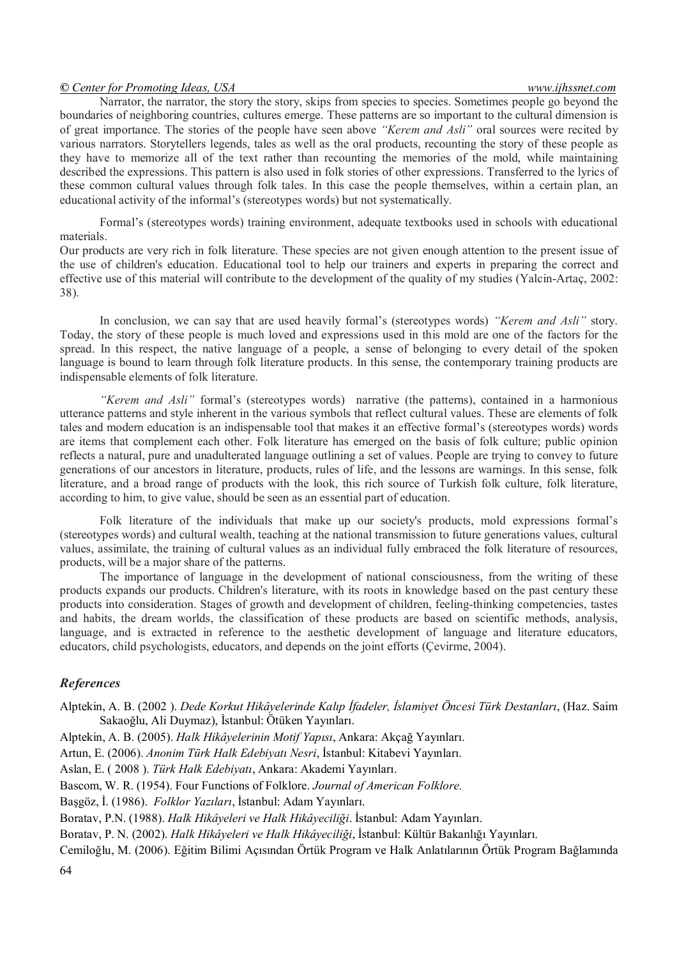### *© Center for Promoting Ideas, USA www.ijhssnet.com*

Narrator, the narrator, the story the story, skips from species to species. Sometimes people go beyond the boundaries of neighboring countries, cultures emerge. These patterns are so important to the cultural dimension is of great importance. The stories of the people have seen above *"Kerem and Asli"* oral sources were recited by various narrators. Storytellers legends, tales as well as the oral products, recounting the story of these people as they have to memorize all of the text rather than recounting the memories of the mold, while maintaining described the expressions. This pattern is also used in folk stories of other expressions. Transferred to the lyrics of these common cultural values through folk tales. In this case the people themselves, within a certain plan, an educational activity of the informal's (stereotypes words) but not systematically.

Formal's (stereotypes words) training environment, adequate textbooks used in schools with educational materials.

Our products are very rich in folk literature. These species are not given enough attention to the present issue of the use of children's education. Educational tool to help our trainers and experts in preparing the correct and effective use of this material will contribute to the development of the quality of my studies (Yalcin-Artaç, 2002: 38).

In conclusion, we can say that are used heavily formal's (stereotypes words) *"Kerem and Asli"* story. Today, the story of these people is much loved and expressions used in this mold are one of the factors for the spread. In this respect, the native language of a people, a sense of belonging to every detail of the spoken language is bound to learn through folk literature products. In this sense, the contemporary training products are indispensable elements of folk literature.

*"Kerem and Asli"* formal's (stereotypes words) narrative (the patterns), contained in a harmonious utterance patterns and style inherent in the various symbols that reflect cultural values. These are elements of folk tales and modern education is an indispensable tool that makes it an effective formal's (stereotypes words) words are items that complement each other. Folk literature has emerged on the basis of folk culture; public opinion reflects a natural, pure and unadulterated language outlining a set of values. People are trying to convey to future generations of our ancestors in literature, products, rules of life, and the lessons are warnings. In this sense, folk literature, and a broad range of products with the look, this rich source of Turkish folk culture, folk literature, according to him, to give value, should be seen as an essential part of education.

Folk literature of the individuals that make up our society's products, mold expressions formal's (stereotypes words) and cultural wealth, teaching at the national transmission to future generations values, cultural values, assimilate, the training of cultural values as an individual fully embraced the folk literature of resources, products, will be a major share of the patterns.

The importance of language in the development of national consciousness, from the writing of these products expands our products. Children's literature, with its roots in knowledge based on the past century these products into consideration. Stages of growth and development of children, feeling-thinking competencies, tastes and habits, the dream worlds, the classification of these products are based on scientific methods, analysis, language, and is extracted in reference to the aesthetic development of language and literature educators, educators, child psychologists, educators, and depends on the joint efforts (Çevirme, 2004).

# *References*

Alptekin, A. B. (2002 ). *Dede Korkut Hikâyelerinde Kalıp İfadeler, İslamiyet Öncesi Türk Destanları*, (Haz. Saim Sakaoğlu, Ali Duymaz), İstanbul: Ötüken Yayınları.

Alptekin, A. B. (2005). *Halk Hikâyelerinin Motif Yapısı*, Ankara: Akçağ Yayınları.

Artun, E. (2006). *Anonim Türk Halk Edebiyatı Nesri*, İstanbul: Kitabevi Yayınları.

Aslan, E. ( 2008 ). *Türk Halk Edebiyatı*, Ankara: Akademi Yayınları.

Bascom, W. R. (1954). Four Functions of Folklore. *Journal of American Folklore.*

Başgöz, İ. (1986). *Folklor Yazıları*, İstanbul: Adam Yayınları.

Boratav, P.N. (1988). *Halk Hikâyeleri ve Halk Hikâyeciliği*. İstanbul: Adam Yayınları.

Boratav, P. N. (2002). *Halk Hikâyeleri ve Halk Hikâyeciliği*, İstanbul: Kültür Bakanlığı Yayınları.

Cemiloğlu, M. (2006). Eğitim Bilimi Açısından Örtük Program ve Halk Anlatılarının Örtük Program Bağlamında